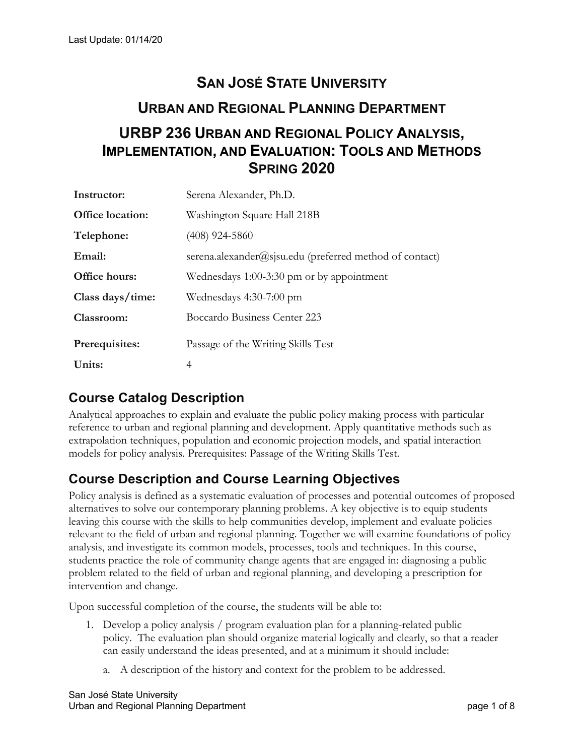# **SAN JOSÉ STATE UNIVERSITY URBAN AND REGIONAL PLANNING DEPARTMENT URBP 236 URBAN AND REGIONAL POLICY ANALYSIS, IMPLEMENTATION, AND EVALUATION: TOOLS AND METHODS SPRING 2020**

| Instructor:             | Serena Alexander, Ph.D.                                 |
|-------------------------|---------------------------------------------------------|
| <b>Office location:</b> | Washington Square Hall 218B                             |
| Telephone:              | $(408)$ 924-5860                                        |
| Email:                  | serena.alexander@sjsu.edu (preferred method of contact) |
| Office hours:           | Wednesdays 1:00-3:30 pm or by appointment               |
| Class days/time:        | Wednesdays 4:30-7:00 pm                                 |
| Classroom:              | Boccardo Business Center 223                            |
| Prerequisites:          | Passage of the Writing Skills Test                      |
| Units:                  | 4                                                       |

## **Course Catalog Description**

Analytical approaches to explain and evaluate the public policy making process with particular reference to urban and regional planning and development. Apply quantitative methods such as extrapolation techniques, population and economic projection models, and spatial interaction models for policy analysis. Prerequisites: Passage of the Writing Skills Test.

## **Course Description and Course Learning Objectives**

Policy analysis is defined as a systematic evaluation of processes and potential outcomes of proposed alternatives to solve our contemporary planning problems. A key objective is to equip students leaving this course with the skills to help communities develop, implement and evaluate policies relevant to the field of urban and regional planning. Together we will examine foundations of policy analysis, and investigate its common models, processes, tools and techniques. In this course, students practice the role of community change agents that are engaged in: diagnosing a public problem related to the field of urban and regional planning, and developing a prescription for intervention and change.

Upon successful completion of the course, the students will be able to:

- 1. Develop a policy analysis / program evaluation plan for a planning-related public policy. The evaluation plan should organize material logically and clearly, so that a reader can easily understand the ideas presented, and at a minimum it should include:
	- a. A description of the history and context for the problem to be addressed.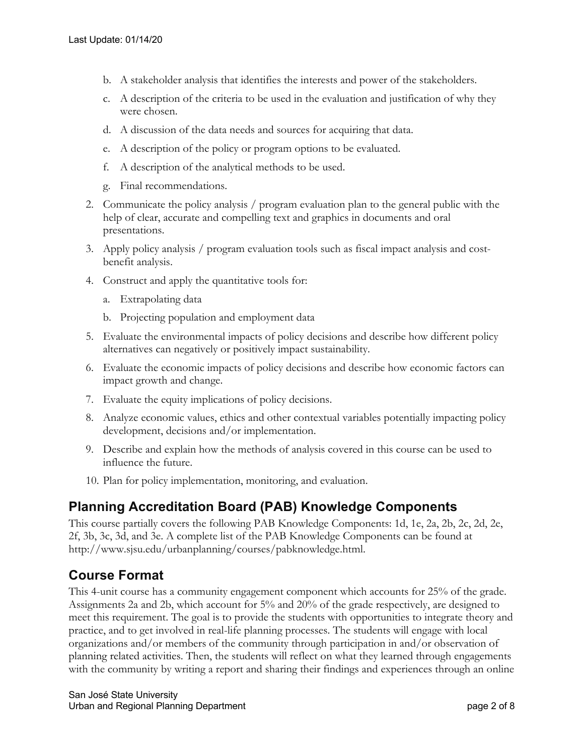- b. A stakeholder analysis that identifies the interests and power of the stakeholders.
- c. A description of the criteria to be used in the evaluation and justification of why they were chosen.
- d. A discussion of the data needs and sources for acquiring that data.
- e. A description of the policy or program options to be evaluated.
- f. A description of the analytical methods to be used.
- g. Final recommendations.
- 2. Communicate the policy analysis / program evaluation plan to the general public with the help of clear, accurate and compelling text and graphics in documents and oral presentations.
- 3. Apply policy analysis / program evaluation tools such as fiscal impact analysis and costbenefit analysis.
- 4. Construct and apply the quantitative tools for:
	- a. Extrapolating data
	- b. Projecting population and employment data
- 5. Evaluate the environmental impacts of policy decisions and describe how different policy alternatives can negatively or positively impact sustainability.
- 6. Evaluate the economic impacts of policy decisions and describe how economic factors can impact growth and change.
- 7. Evaluate the equity implications of policy decisions.
- 8. Analyze economic values, ethics and other contextual variables potentially impacting policy development, decisions and/or implementation.
- 9. Describe and explain how the methods of analysis covered in this course can be used to influence the future.
- 10. Plan for policy implementation, monitoring, and evaluation.

## **Planning Accreditation Board (PAB) Knowledge Components**

This course partially covers the following PAB Knowledge Components: 1d, 1e, 2a, 2b, 2c, 2d, 2e, 2f, 3b, 3c, 3d, and 3e. A complete list of the PAB Knowledge Components can be found at http://www.sjsu.edu/urbanplanning/courses/pabknowledge.html.

## **Course Format**

This 4-unit course has a community engagement component which accounts for 25% of the grade. Assignments 2a and 2b, which account for 5% and 20% of the grade respectively, are designed to meet this requirement. The goal is to provide the students with opportunities to integrate theory and practice, and to get involved in real-life planning processes. The students will engage with local organizations and/or members of the community through participation in and/or observation of planning related activities. Then, the students will reflect on what they learned through engagements with the community by writing a report and sharing their findings and experiences through an online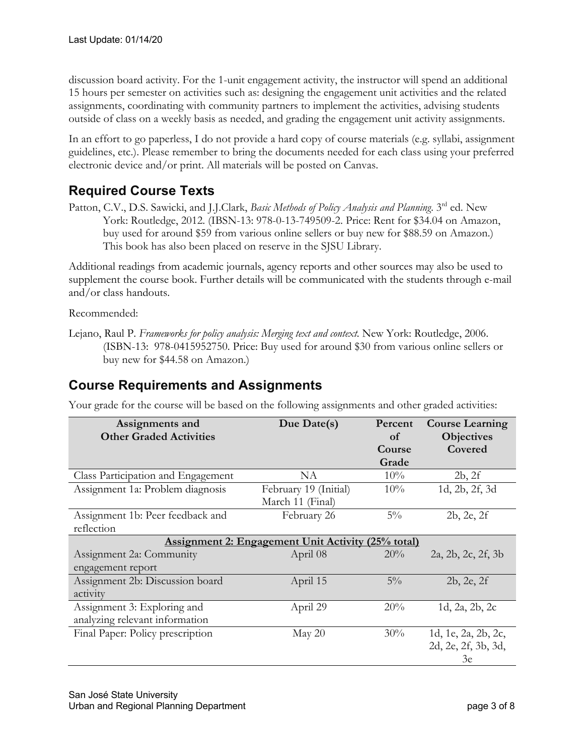discussion board activity. For the 1-unit engagement activity, the instructor will spend an additional 15 hours per semester on activities such as: designing the engagement unit activities and the related assignments, coordinating with community partners to implement the activities, advising students outside of class on a weekly basis as needed, and grading the engagement unit activity assignments.

In an effort to go paperless, I do not provide a hard copy of course materials (e.g. syllabi, assignment guidelines, etc.). Please remember to bring the documents needed for each class using your preferred electronic device and/or print. All materials will be posted on Canvas.

## **Required Course Texts**

Patton, C.V., D.S. Sawicki, and J.J.Clark, *Basic Methods of Policy Analysis and Planning*. 3rd ed. New York: Routledge, 2012. (IBSN-13: 978-0-13-749509-2. Price: Rent for \$34.04 on Amazon, buy used for around \$59 from various online sellers or buy new for \$88.59 on Amazon.) This book has also been placed on reserve in the SJSU Library.

Additional readings from academic journals, agency reports and other sources may also be used to supplement the course book. Further details will be communicated with the students through e-mail and/or class handouts.

Recommended:

## **Course Requirements and Assignments**

Your grade for the course will be based on the following assignments and other graded activities:

| Assignments and<br><b>Other Graded Activities</b>         | Due Date(s)           | Percent<br>of | <b>Course Learning</b><br><b>Objectives</b> |  |  |
|-----------------------------------------------------------|-----------------------|---------------|---------------------------------------------|--|--|
|                                                           |                       | Course        | Covered                                     |  |  |
|                                                           |                       | Grade         |                                             |  |  |
| Class Participation and Engagement                        | NA                    | 10%           | 2b, 2f                                      |  |  |
| Assignment 1a: Problem diagnosis                          | February 19 (Initial) | 10%           | 1d, 2b, 2f, 3d                              |  |  |
|                                                           | March 11 (Final)      |               |                                             |  |  |
| Assignment 1b: Peer feedback and                          | February 26           | $5\%$         | 2b, 2e, 2f                                  |  |  |
| reflection                                                |                       |               |                                             |  |  |
| <b>Assignment 2: Engagement Unit Activity (25% total)</b> |                       |               |                                             |  |  |
| Assignment 2a: Community                                  | April 08              | 20%           | 2a, 2b, 2c, 2f, 3b                          |  |  |
| engagement report                                         |                       |               |                                             |  |  |
| Assignment 2b: Discussion board                           | April 15              | $5\%$         | 2b, 2e, 2f                                  |  |  |
| activity                                                  |                       |               |                                             |  |  |
| Assignment 3: Exploring and                               | April 29              | 20%           | 1d, 2a, 2b, 2c                              |  |  |
| analyzing relevant information                            |                       |               |                                             |  |  |
| Final Paper: Policy prescription                          | May $20$              | 30%           | 1d, 1e, 2a, 2b, 2c,                         |  |  |
|                                                           |                       |               | 2d, 2e, 2f, 3b, 3d,                         |  |  |
|                                                           |                       |               | 3e                                          |  |  |

Lejano, Raul P. *Frameworks for policy analysis: Merging text and context.* New York: Routledge, 2006. (ISBN-13: 978-0415952750. Price: Buy used for around \$30 from various online sellers or buy new for \$44.58 on Amazon.)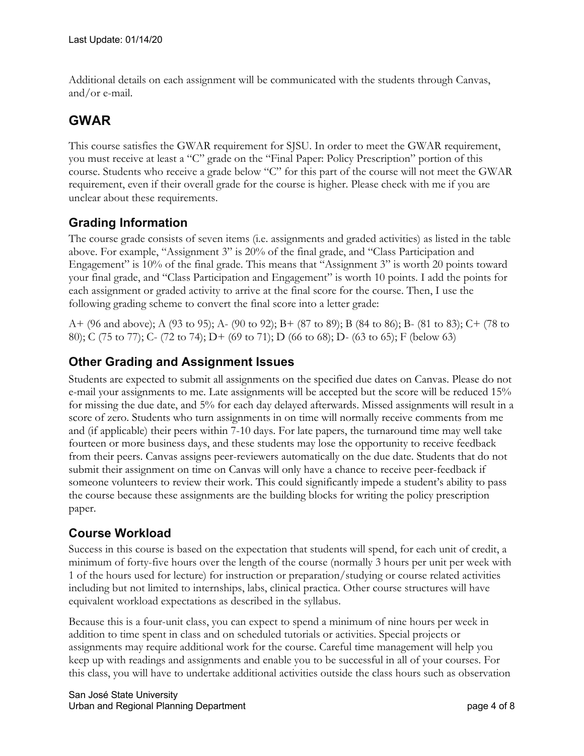Additional details on each assignment will be communicated with the students through Canvas, and/or e-mail.

## **GWAR**

This course satisfies the GWAR requirement for SJSU. In order to meet the GWAR requirement, you must receive at least a "C" grade on the "Final Paper: Policy Prescription" portion of this course. Students who receive a grade below "C" for this part of the course will not meet the GWAR requirement, even if their overall grade for the course is higher. Please check with me if you are unclear about these requirements.

#### **Grading Information**

The course grade consists of seven items (i.e. assignments and graded activities) as listed in the table above. For example, "Assignment 3" is 20% of the final grade, and "Class Participation and Engagement" is 10% of the final grade. This means that "Assignment 3" is worth 20 points toward your final grade, and "Class Participation and Engagement" is worth 10 points. I add the points for each assignment or graded activity to arrive at the final score for the course. Then, I use the following grading scheme to convert the final score into a letter grade:

A+ (96 and above); A (93 to 95); A- (90 to 92); B+ (87 to 89); B (84 to 86); B- (81 to 83); C+ (78 to 80); C (75 to 77); C- (72 to 74); D+ (69 to 71); D (66 to 68); D- (63 to 65); F (below 63)

#### **Other Grading and Assignment Issues**

Students are expected to submit all assignments on the specified due dates on Canvas. Please do not e-mail your assignments to me. Late assignments will be accepted but the score will be reduced 15% for missing the due date, and 5% for each day delayed afterwards. Missed assignments will result in a score of zero. Students who turn assignments in on time will normally receive comments from me and (if applicable) their peers within 7-10 days. For late papers, the turnaround time may well take fourteen or more business days, and these students may lose the opportunity to receive feedback from their peers. Canvas assigns peer-reviewers automatically on the due date. Students that do not submit their assignment on time on Canvas will only have a chance to receive peer-feedback if someone volunteers to review their work. This could significantly impede a student's ability to pass the course because these assignments are the building blocks for writing the policy prescription paper.

#### **Course Workload**

Success in this course is based on the expectation that students will spend, for each unit of credit, a minimum of forty-five hours over the length of the course (normally 3 hours per unit per week with 1 of the hours used for lecture) for instruction or preparation/studying or course related activities including but not limited to internships, labs, clinical practica. Other course structures will have equivalent workload expectations as described in the syllabus.

Because this is a four-unit class, you can expect to spend a minimum of nine hours per week in addition to time spent in class and on scheduled tutorials or activities. Special projects or assignments may require additional work for the course. Careful time management will help you keep up with readings and assignments and enable you to be successful in all of your courses. For this class, you will have to undertake additional activities outside the class hours such as observation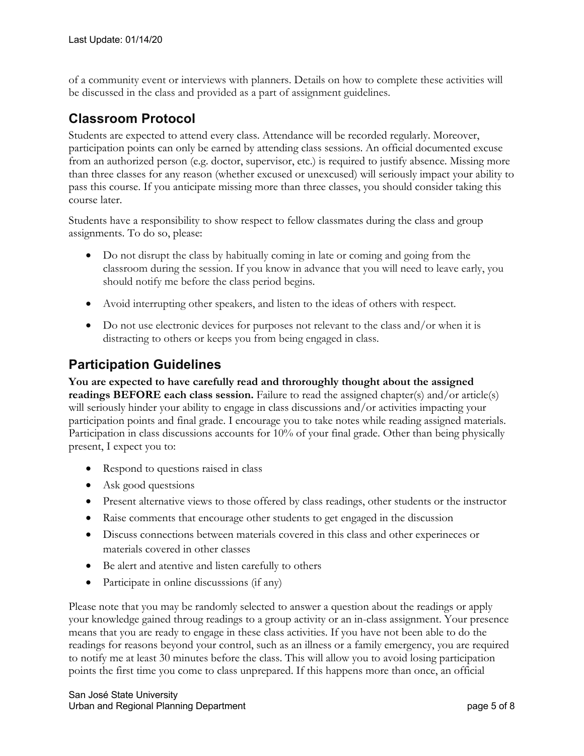of a community event or interviews with planners. Details on how to complete these activities will be discussed in the class and provided as a part of assignment guidelines.

## **Classroom Protocol**

Students are expected to attend every class. Attendance will be recorded regularly. Moreover, participation points can only be earned by attending class sessions. An official documented excuse from an authorized person (e.g. doctor, supervisor, etc.) is required to justify absence. Missing more than three classes for any reason (whether excused or unexcused) will seriously impact your ability to pass this course. If you anticipate missing more than three classes, you should consider taking this course later.

Students have a responsibility to show respect to fellow classmates during the class and group assignments. To do so, please:

- Do not disrupt the class by habitually coming in late or coming and going from the classroom during the session. If you know in advance that you will need to leave early, you should notify me before the class period begins.
- Avoid interrupting other speakers, and listen to the ideas of others with respect.
- Do not use electronic devices for purposes not relevant to the class and/or when it is distracting to others or keeps you from being engaged in class.

## **Participation Guidelines**

**You are expected to have carefully read and throroughly thought about the assigned readings BEFORE each class session.** Failure to read the assigned chapter(s) and/or article(s) will seriously hinder your ability to engage in class discussions and/or activities impacting your participation points and final grade. I encourage you to take notes while reading assigned materials. Participation in class discussions accounts for 10% of your final grade. Other than being physically present, I expect you to:

- Respond to questions raised in class
- Ask good questsions
- Present alternative views to those offered by class readings, other students or the instructor
- Raise comments that encourage other students to get engaged in the discussion
- Discuss connections between materials covered in this class and other experineces or materials covered in other classes
- Be alert and atentive and listen carefully to others
- Participate in online discusssions (if any)

Please note that you may be randomly selected to answer a question about the readings or apply your knowledge gained throug readings to a group activity or an in-class assignment. Your presence means that you are ready to engage in these class activities. If you have not been able to do the readings for reasons beyond your control, such as an illness or a family emergency, you are required to notify me at least 30 minutes before the class. This will allow you to avoid losing participation points the first time you come to class unprepared. If this happens more than once, an official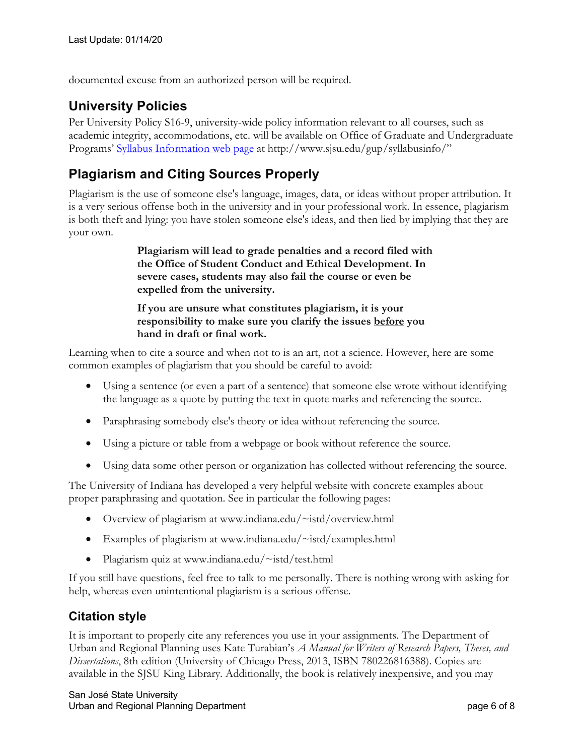documented excuse from an authorized person will be required.

## **University Policies**

Per University Policy S16-9, university-wide policy information relevant to all courses, such as academic integrity, accommodations, etc. will be available on Office of Graduate and Undergraduate Programs' Syllabus Information web page at http://www.sjsu.edu/gup/syllabusinfo/"

## **Plagiarism and Citing Sources Properly**

Plagiarism is the use of someone else's language, images, data, or ideas without proper attribution. It is a very serious offense both in the university and in your professional work. In essence, plagiarism is both theft and lying: you have stolen someone else's ideas, and then lied by implying that they are your own.

> **Plagiarism will lead to grade penalties and a record filed with the Office of Student Conduct and Ethical Development. In severe cases, students may also fail the course or even be expelled from the university.**

**If you are unsure what constitutes plagiarism, it is your responsibility to make sure you clarify the issues before you hand in draft or final work.**

Learning when to cite a source and when not to is an art, not a science. However, here are some common examples of plagiarism that you should be careful to avoid:

- Using a sentence (or even a part of a sentence) that someone else wrote without identifying the language as a quote by putting the text in quote marks and referencing the source.
- Paraphrasing somebody else's theory or idea without referencing the source.
- Using a picture or table from a webpage or book without reference the source.
- Using data some other person or organization has collected without referencing the source.

The University of Indiana has developed a very helpful website with concrete examples about proper paraphrasing and quotation. See in particular the following pages:

- Overview of plagiarism at www.indiana.edu/~istd/overview.html
- Examples of plagiarism at www.indiana.edu/~istd/examples.html
- Plagiarism quiz at www.indiana.edu/~istd/test.html

If you still have questions, feel free to talk to me personally. There is nothing wrong with asking for help, whereas even unintentional plagiarism is a serious offense.

#### **Citation style**

It is important to properly cite any references you use in your assignments. The Department of Urban and Regional Planning uses Kate Turabian's *A Manual for Writers of Research Papers, Theses, and Dissertations*, 8th edition (University of Chicago Press, 2013, ISBN 780226816388). Copies are available in the SJSU King Library. Additionally, the book is relatively inexpensive, and you may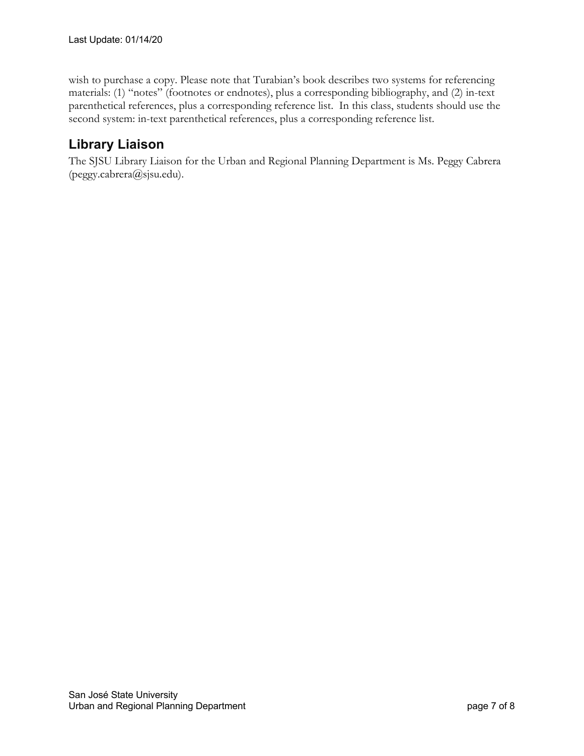wish to purchase a copy. Please note that Turabian's book describes two systems for referencing materials: (1) "notes" (footnotes or endnotes), plus a corresponding bibliography, and (2) in-text parenthetical references, plus a corresponding reference list. In this class, students should use the second system: in-text parenthetical references, plus a corresponding reference list.

## **Library Liaison**

The SJSU Library Liaison for the Urban and Regional Planning Department is Ms. Peggy Cabrera (peggy.cabrera@sjsu.edu).